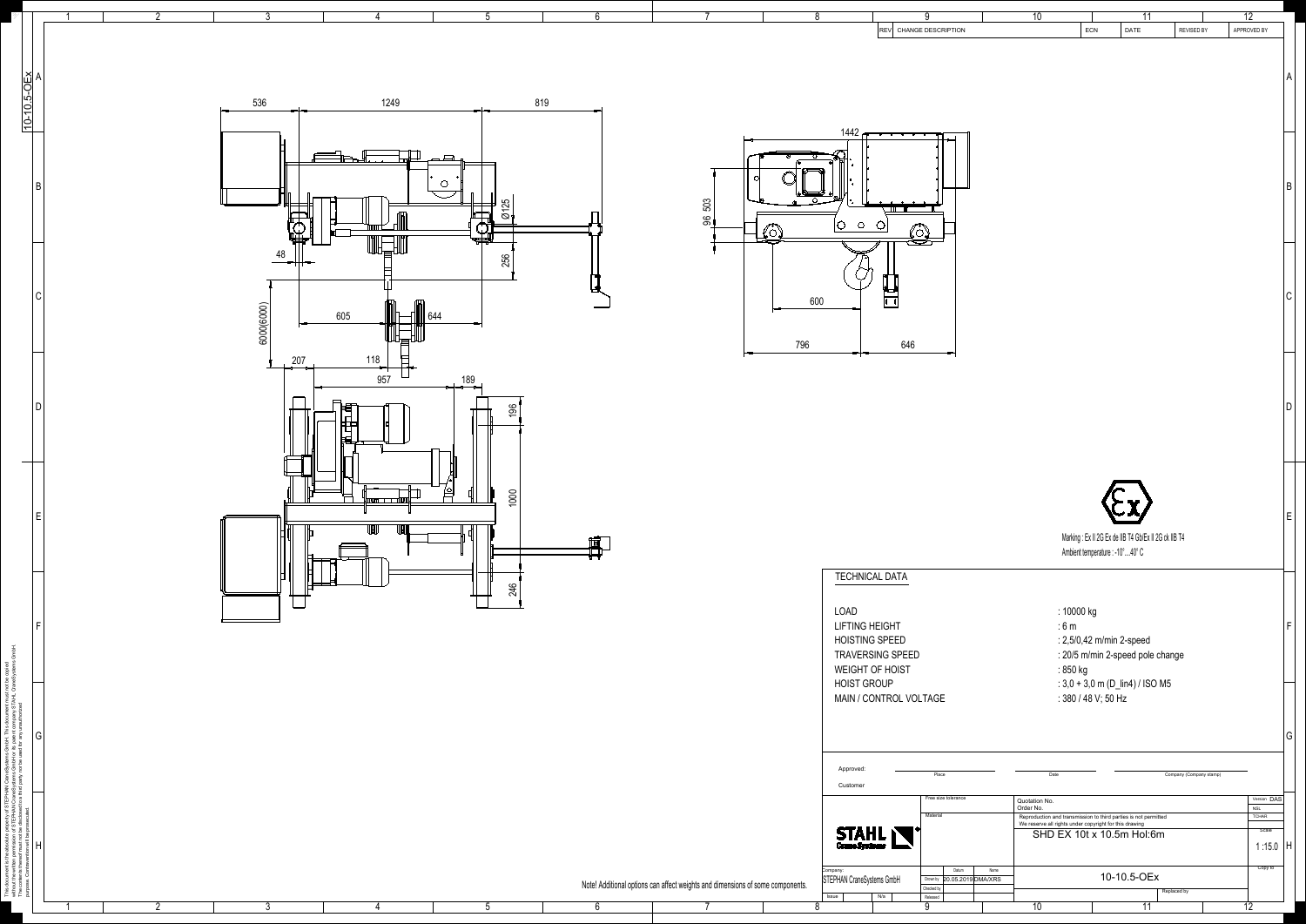This document is the absolute property of STEPHAN CraneSystems GmbH. This document must not be copied



|               |            |                                                |                          |                                                                                |                                                                                                      | -9                          | 10<br>11<br>DATE<br><b>REVISED BY</b>                                                                                     | 12 <sup>°</sup><br>APPROVED BY |
|---------------|------------|------------------------------------------------|--------------------------|--------------------------------------------------------------------------------|------------------------------------------------------------------------------------------------------|-----------------------------|---------------------------------------------------------------------------------------------------------------------------|--------------------------------|
|               |            |                                                |                          |                                                                                |                                                                                                      | REV CHANGE DESCRIPTION      | ECN                                                                                                                       |                                |
|               |            |                                                |                          |                                                                                |                                                                                                      |                             |                                                                                                                           |                                |
|               |            |                                                |                          |                                                                                |                                                                                                      |                             |                                                                                                                           |                                |
|               |            |                                                |                          |                                                                                |                                                                                                      |                             |                                                                                                                           |                                |
|               |            |                                                |                          |                                                                                |                                                                                                      |                             |                                                                                                                           |                                |
|               | 536        | 1249                                           | 819                      |                                                                                |                                                                                                      |                             |                                                                                                                           |                                |
|               |            |                                                |                          |                                                                                |                                                                                                      |                             |                                                                                                                           |                                |
| 10-10.5-OEX   |            |                                                |                          |                                                                                | 1442 $F$                                                                                             |                             |                                                                                                                           |                                |
|               |            |                                                |                          |                                                                                |                                                                                                      |                             |                                                                                                                           |                                |
|               |            |                                                | $\overline{\phantom{a}}$ |                                                                                |                                                                                                      |                             |                                                                                                                           |                                |
|               |            |                                                |                          |                                                                                |                                                                                                      |                             |                                                                                                                           |                                |
|               |            |                                                |                          |                                                                                |                                                                                                      |                             |                                                                                                                           |                                |
|               |            |                                                | LC.                      |                                                                                | $\begin{array}{ccccccccccccccccc} \circ & \circ & \circ & \circ & \circ & \circ & \circ \end{array}$ |                             |                                                                                                                           |                                |
|               |            |                                                | $\sim$<br>$\varnothing$  | 503                                                                            |                                                                                                      |                             |                                                                                                                           |                                |
|               |            |                                                |                          | $\mathcal{S}$                                                                  |                                                                                                      |                             |                                                                                                                           |                                |
|               |            | ╙╅┼╆┵                                          | 神学                       |                                                                                |                                                                                                      |                             |                                                                                                                           |                                |
|               | 48         |                                                |                          |                                                                                |                                                                                                      |                             |                                                                                                                           |                                |
|               |            |                                                | 256                      |                                                                                |                                                                                                      |                             |                                                                                                                           |                                |
|               |            |                                                |                          |                                                                                |                                                                                                      |                             |                                                                                                                           |                                |
|               |            |                                                |                          |                                                                                | $\overline{\phantom{a}}$<br>600<br>00                                                                |                             |                                                                                                                           |                                |
|               | 6000(6000) | 605<br>$\ 644$                                 |                          |                                                                                |                                                                                                      |                             |                                                                                                                           |                                |
|               |            |                                                |                          |                                                                                |                                                                                                      |                             |                                                                                                                           |                                |
|               |            | 恒                                              |                          |                                                                                |                                                                                                      |                             |                                                                                                                           |                                |
|               |            | $\equiv$                                       |                          | 796<br>$\overline{\phantom{0}}$                                                | 646<br>— <del>— —</del>                                                                              | $\overline{\phantom{a}}$    |                                                                                                                           |                                |
|               |            | 207                                            |                          |                                                                                |                                                                                                      |                             |                                                                                                                           |                                |
|               |            | 957                                            | $\frac{189}{ }$          |                                                                                |                                                                                                      |                             |                                                                                                                           |                                |
|               |            | $\overline{\phantom{0}}$                       |                          |                                                                                |                                                                                                      |                             |                                                                                                                           |                                |
|               |            |                                                | $\frac{196}{2}$          |                                                                                |                                                                                                      |                             |                                                                                                                           |                                |
|               |            |                                                |                          |                                                                                |                                                                                                      |                             |                                                                                                                           |                                |
|               |            |                                                |                          |                                                                                |                                                                                                      |                             |                                                                                                                           |                                |
|               |            |                                                |                          |                                                                                |                                                                                                      |                             |                                                                                                                           |                                |
| $\frac{1}{2}$ |            |                                                |                          |                                                                                |                                                                                                      |                             |                                                                                                                           |                                |
|               |            |                                                |                          |                                                                                |                                                                                                      |                             |                                                                                                                           |                                |
|               |            |                                                |                          |                                                                                |                                                                                                      |                             |                                                                                                                           |                                |
|               |            | $\lfloor$ mosa $\rfloor$ $\cdots$ to $\lfloor$ | 1000                     |                                                                                |                                                                                                      |                             |                                                                                                                           |                                |
|               |            |                                                |                          |                                                                                |                                                                                                      |                             |                                                                                                                           |                                |
|               |            | UU                                             |                          |                                                                                |                                                                                                      |                             | Marking : Ex II 2G Ex de IIB T4 Gb/Ex II 2G ck IIB T4                                                                     |                                |
|               |            |                                                |                          |                                                                                |                                                                                                      |                             | Ambient temperature : -10°40° C                                                                                           |                                |
|               |            |                                                |                          |                                                                                |                                                                                                      |                             |                                                                                                                           |                                |
|               |            |                                                |                          |                                                                                | <b>TECHNICAL DATA</b>                                                                                |                             |                                                                                                                           |                                |
|               |            |                                                | 246                      |                                                                                |                                                                                                      |                             |                                                                                                                           |                                |
|               |            |                                                |                          |                                                                                |                                                                                                      |                             |                                                                                                                           |                                |
|               |            |                                                |                          |                                                                                | LOAD                                                                                                 |                             | : 10000 kg                                                                                                                |                                |
|               |            |                                                |                          |                                                                                | <b>LIFTING HEIGHT</b>                                                                                |                             | :6m                                                                                                                       |                                |
|               |            |                                                |                          |                                                                                | <b>HOISTING SPEED</b>                                                                                |                             | : 2,5/0,42 m/min 2-speed                                                                                                  |                                |
|               |            |                                                |                          |                                                                                | <b>TRAVERSING SPEED</b>                                                                              |                             | : 20/5 m/min 2-speed pole change                                                                                          |                                |
|               |            |                                                |                          |                                                                                | <b>WEIGHT OF HOIST</b>                                                                               |                             | : 850 kg                                                                                                                  |                                |
|               |            |                                                |                          |                                                                                | <b>HOIST GROUP</b>                                                                                   |                             | : $3,0 + 3,0$ m (D_lin4) / ISO M5                                                                                         |                                |
|               |            |                                                |                          |                                                                                | MAIN / CONTROL VOLTAGE                                                                               |                             | : 380 / 48 V; 50 Hz                                                                                                       |                                |
|               |            |                                                |                          |                                                                                |                                                                                                      |                             |                                                                                                                           |                                |
|               |            |                                                |                          |                                                                                |                                                                                                      |                             |                                                                                                                           |                                |
| G             |            |                                                |                          |                                                                                |                                                                                                      |                             |                                                                                                                           |                                |
|               |            |                                                |                          |                                                                                |                                                                                                      |                             |                                                                                                                           |                                |
|               |            |                                                |                          |                                                                                | Approved:                                                                                            | Place                       | Company (Company stamp)<br>Date                                                                                           |                                |
|               |            |                                                |                          |                                                                                | Customer                                                                                             |                             |                                                                                                                           |                                |
|               |            |                                                |                          |                                                                                |                                                                                                      | Free size tolerance         | Quotation No.<br>Order No.                                                                                                | Version DAS                    |
|               |            |                                                |                          |                                                                                |                                                                                                      | Material                    |                                                                                                                           | <b>NSL</b><br>TCHAR            |
|               |            |                                                |                          |                                                                                |                                                                                                      |                             | Reproduction and transmission to third parties is not permitted<br>We reserve all rights under copyright for this drawing | Scale                          |
|               |            |                                                |                          |                                                                                | <b>STAHL</b>                                                                                         |                             | SHD EX 10t x 10.5m Hol:6m                                                                                                 |                                |
|               |            |                                                |                          |                                                                                |                                                                                                      |                             |                                                                                                                           | 1:15.0 $ H$                    |
|               |            |                                                |                          |                                                                                |                                                                                                      | Datum<br>Name               |                                                                                                                           | Copy to                        |
|               |            |                                                |                          | Note! Additional options can affect weights and dimensions of some components. | <sub>Company:</sub><br>STEPHAN CraneSystems GmbH                                                     | Drown by 20.05.2019 DMA/XRS | 10-10.5-OEx                                                                                                               |                                |
|               |            |                                                |                          |                                                                                | N/a                                                                                                  | Checked by<br>Released      | Replaced by                                                                                                               |                                |
|               |            |                                                |                          |                                                                                |                                                                                                      |                             | $\overline{44}$                                                                                                           |                                |